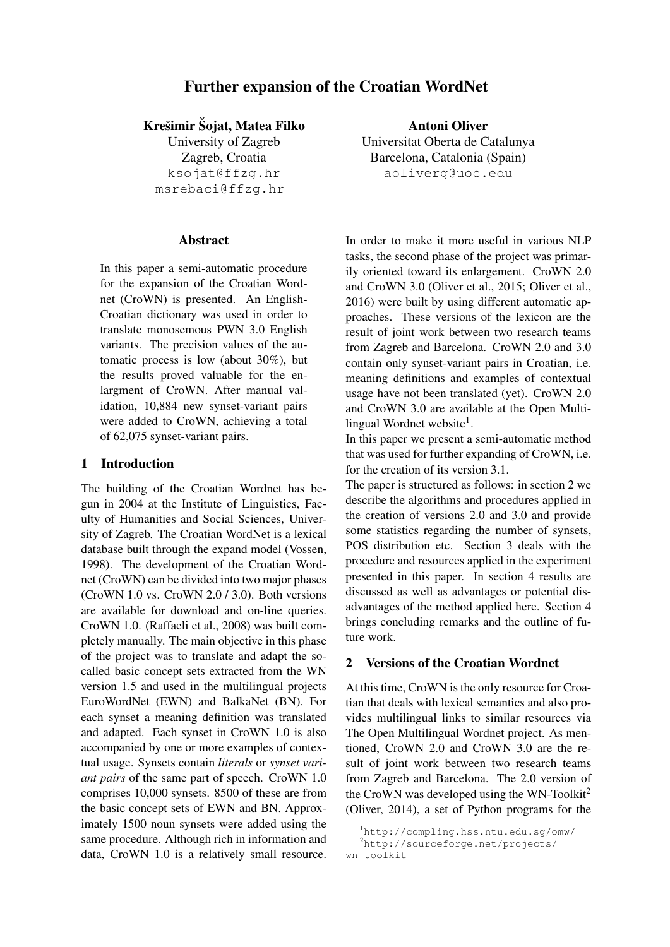# Further expansion of the Croatian WordNet

Krešimir Šojat, Matea Filko

University of Zagreb Zagreb, Croatia ksojat@ffzg.hr msrebaci@ffzg.hr

## Abstract

In this paper a semi-automatic procedure for the expansion of the Croatian Wordnet (CroWN) is presented. An English-Croatian dictionary was used in order to translate monosemous PWN 3.0 English variants. The precision values of the automatic process is low (about 30%), but the results proved valuable for the enlargment of CroWN. After manual validation, 10,884 new synset-variant pairs were added to CroWN, achieving a total of 62,075 synset-variant pairs.

## 1 Introduction

The building of the Croatian Wordnet has begun in 2004 at the Institute of Linguistics, Faculty of Humanities and Social Sciences, University of Zagreb. The Croatian WordNet is a lexical database built through the expand model (Vossen, 1998). The development of the Croatian Wordnet (CroWN) can be divided into two major phases (CroWN 1.0 vs. CroWN 2.0 / 3.0). Both versions are available for download and on-line queries. CroWN 1.0. (Raffaeli et al., 2008) was built completely manually. The main objective in this phase of the project was to translate and adapt the socalled basic concept sets extracted from the WN version 1.5 and used in the multilingual projects EuroWordNet (EWN) and BalkaNet (BN). For each synset a meaning definition was translated and adapted. Each synset in CroWN 1.0 is also accompanied by one or more examples of contextual usage. Synsets contain *literals* or *synset variant pairs* of the same part of speech. CroWN 1.0 comprises 10,000 synsets. 8500 of these are from the basic concept sets of EWN and BN. Approximately 1500 noun synsets were added using the same procedure. Although rich in information and data, CroWN 1.0 is a relatively small resource.

Antoni Oliver Universitat Oberta de Catalunya Barcelona, Catalonia (Spain) aoliverg@uoc.edu

In order to make it more useful in various NLP tasks, the second phase of the project was primarily oriented toward its enlargement. CroWN 2.0 and CroWN 3.0 (Oliver et al., 2015; Oliver et al., 2016) were built by using different automatic approaches. These versions of the lexicon are the result of joint work between two research teams from Zagreb and Barcelona. CroWN 2.0 and 3.0 contain only synset-variant pairs in Croatian, i.e. meaning definitions and examples of contextual usage have not been translated (yet). CroWN 2.0 and CroWN 3.0 are available at the Open Multilingual Wordnet website<sup>1</sup>.

In this paper we present a semi-automatic method that was used for further expanding of CroWN, i.e. for the creation of its version 3.1.

The paper is structured as follows: in section 2 we describe the algorithms and procedures applied in the creation of versions 2.0 and 3.0 and provide some statistics regarding the number of synsets, POS distribution etc. Section 3 deals with the procedure and resources applied in the experiment presented in this paper. In section 4 results are discussed as well as advantages or potential disadvantages of the method applied here. Section 4 brings concluding remarks and the outline of future work.

## 2 Versions of the Croatian Wordnet

At this time, CroWN is the only resource for Croatian that deals with lexical semantics and also provides multilingual links to similar resources via The Open Multilingual Wordnet project. As mentioned, CroWN 2.0 and CroWN 3.0 are the result of joint work between two research teams from Zagreb and Barcelona. The 2.0 version of the CroWN was developed using the WN-Toolkit<sup>2</sup> (Oliver, 2014), a set of Python programs for the

<sup>1</sup>http://compling.hss.ntu.edu.sg/omw/ <sup>2</sup>http://sourceforge.net/projects/ wn-toolkit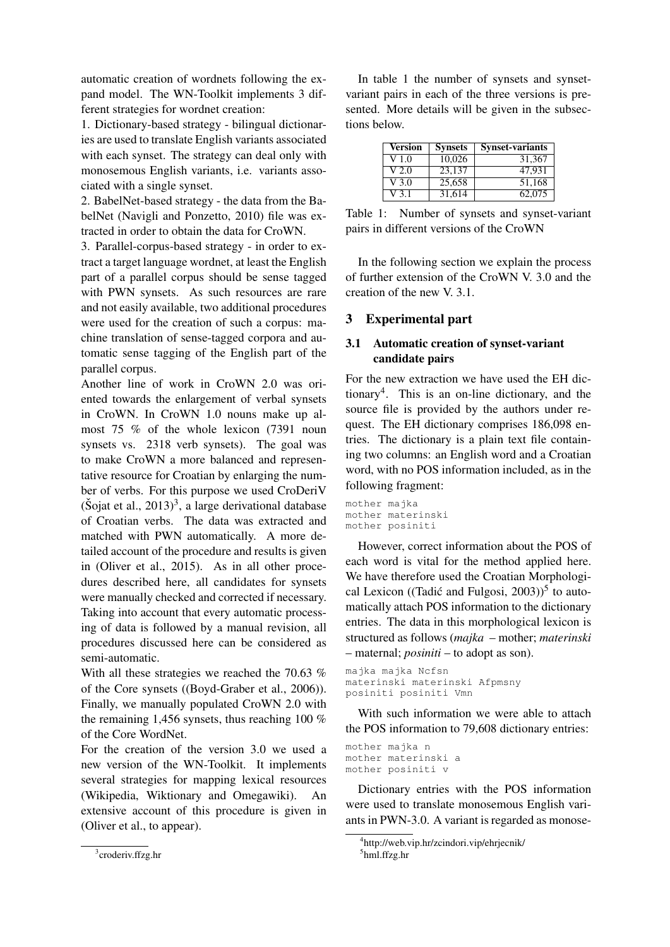automatic creation of wordnets following the expand model. The WN-Toolkit implements 3 different strategies for wordnet creation:

1. Dictionary-based strategy - bilingual dictionaries are used to translate English variants associated with each synset. The strategy can deal only with monosemous English variants, i.e. variants associated with a single synset.

2. BabelNet-based strategy - the data from the BabelNet (Navigli and Ponzetto, 2010) file was extracted in order to obtain the data for CroWN.

3. Parallel-corpus-based strategy - in order to extract a target language wordnet, at least the English part of a parallel corpus should be sense tagged with PWN synsets. As such resources are rare and not easily available, two additional procedures were used for the creation of such a corpus: machine translation of sense-tagged corpora and automatic sense tagging of the English part of the parallel corpus.

Another line of work in CroWN 2.0 was oriented towards the enlargement of verbal synsets in CroWN. In CroWN 1.0 nouns make up almost 75 % of the whole lexicon (7391 noun synsets vs. 2318 verb synsets). The goal was to make CroWN a more balanced and representative resource for Croatian by enlarging the number of verbs. For this purpose we used CroDeriV  $(\text{Šojat et al.}, 2013)^3$ , a large derivational database of Croatian verbs. The data was extracted and matched with PWN automatically. A more detailed account of the procedure and results is given in (Oliver et al., 2015). As in all other procedures described here, all candidates for synsets were manually checked and corrected if necessary. Taking into account that every automatic processing of data is followed by a manual revision, all procedures discussed here can be considered as semi-automatic.

With all these strategies we reached the 70.63 % of the Core synsets ((Boyd-Graber et al., 2006)). Finally, we manually populated CroWN 2.0 with the remaining 1,456 synsets, thus reaching 100 % of the Core WordNet.

For the creation of the version 3.0 we used a new version of the WN-Toolkit. It implements several strategies for mapping lexical resources (Wikipedia, Wiktionary and Omegawiki). An extensive account of this procedure is given in (Oliver et al., to appear).

In table 1 the number of synsets and synsetvariant pairs in each of the three versions is presented. More details will be given in the subsections below.

| <b>Version</b> | <b>Synsets</b> | <b>Synset-variants</b> |
|----------------|----------------|------------------------|
| V 1.0          | 10,026         | 31,367                 |
| V 2.0          | 23,137         | 47,931                 |
| V 3.0          | 25,658         | 51,168                 |
| V 3 1          | 31.614         | 62.075                 |

Table 1: Number of synsets and synset-variant pairs in different versions of the CroWN

In the following section we explain the process of further extension of the CroWN V. 3.0 and the creation of the new V. 3.1.

# 3 Experimental part

# 3.1 Automatic creation of synset-variant candidate pairs

For the new extraction we have used the EH dictionary<sup>4</sup> . This is an on-line dictionary, and the source file is provided by the authors under request. The EH dictionary comprises 186,098 entries. The dictionary is a plain text file containing two columns: an English word and a Croatian word, with no POS information included, as in the following fragment:

```
mother majka
mother materinski
mother posiniti
```
However, correct information about the POS of each word is vital for the method applied here. We have therefore used the Croatian Morphological Lexicon ((Tadić and Fulgosi, 2003))<sup>5</sup> to automatically attach POS information to the dictionary entries. The data in this morphological lexicon is structured as follows (*majka* – mother; *materinski* – maternal; *posiniti* – to adopt as son).

```
majka majka Ncfsn
materinski materinski Afpmsny
posiniti posiniti Vmn
```
With such information we were able to attach the POS information to 79,608 dictionary entries:

mother majka n mother materinski a mother posiniti v

Dictionary entries with the POS information were used to translate monosemous English variants in PWN-3.0. A variant is regarded as monose-

<sup>4</sup> http://web.vip.hr/zcindori.vip/ehrjecnik/ 5 hml.ffzg.hr

<sup>3</sup> croderiv.ffzg.hr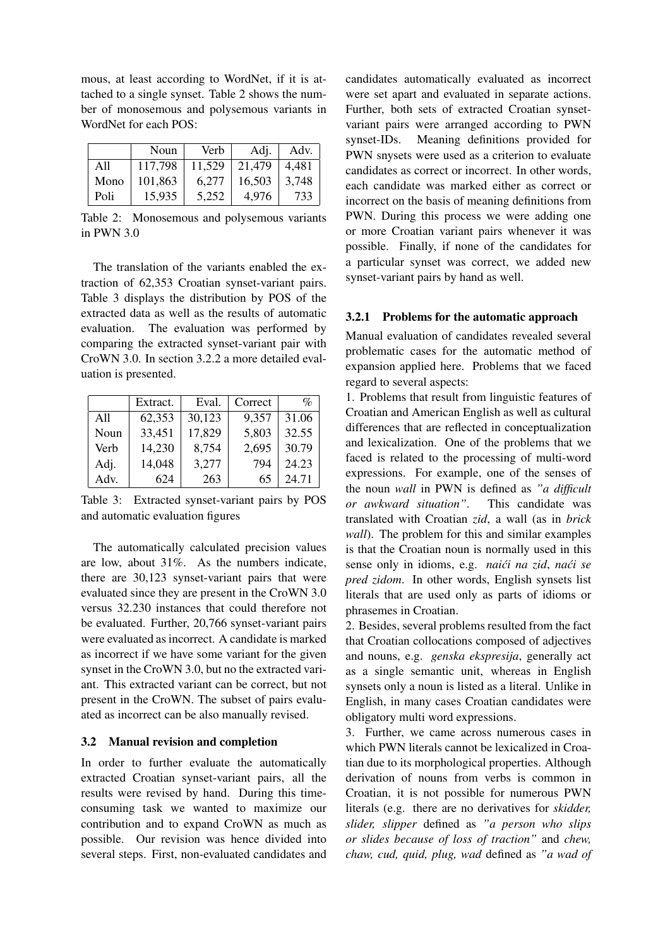mous, at least according to WordNet, if it is attached to a single synset. Table 2 shows the number of monosemous and polysemous variants in WordNet for each POS:

|      | Noun    | Verb   | Adj.   | Adv.  |
|------|---------|--------|--------|-------|
| All  | 117,798 | 11,529 | 21,479 | 4,481 |
| Mono | 101,863 | 6.277  | 16,503 | 3.748 |
| Poli | 15,935  | 5.252  | 4.976  | 733   |

Table 2: Monosemous and polysemous variants in PWN 3.0

The translation of the variants enabled the extraction of 62,353 Croatian synset-variant pairs. Table 3 displays the distribution by POS of the extracted data as well as the results of automatic evaluation. The evaluation was performed by comparing the extracted synset-variant pair with CroWN 3.0. In section 3.2.2 a more detailed evaluation is presented.

|      | Extract. | Eval.  | Correct | $\mathcal{O}_0$ |
|------|----------|--------|---------|-----------------|
| A11  | 62,353   | 30,123 | 9,357   | 31.06           |
| Noun | 33,451   | 17,829 | 5,803   | 32.55           |
| Verb | 14,230   | 8,754  | 2,695   | 30.79           |
| Adj. | 14,048   | 3,277  | 794     | 24.23           |
| Adv. | 624      | 263    | 65      | 24.71           |

Table 3: Extracted synset-variant pairs by POS and automatic evaluation figures

The automatically calculated precision values are low, about 31%. As the numbers indicate, there are 30,123 synset-variant pairs that were evaluated since they are present in the CroWN 3.0 versus 32.230 instances that could therefore not be evaluated. Further, 20,766 synset-variant pairs were evaluated as incorrect. A candidate is marked as incorrect if we have some variant for the given synset in the CroWN 3.0, but no the extracted variant. This extracted variant can be correct, but not present in the CroWN. The subset of pairs evaluated as incorrect can be also manually revised.

#### 3.2 Manual revision and completion

In order to further evaluate the automatically extracted Croatian synset-variant pairs, all the results were revised by hand. During this timeconsuming task we wanted to maximize our contribution and to expand CroWN as much as possible. Our revision was hence divided into several steps. First, non-evaluated candidates and

candidates automatically evaluated as incorrect were set apart and evaluated in separate actions. Further, both sets of extracted Croatian synsetvariant pairs were arranged according to PWN synset-IDs. Meaning definitions provided for PWN snysets were used as a criterion to evaluate candidates as correct or incorrect. In other words, each candidate was marked either as correct or incorrect on the basis of meaning definitions from PWN. During this process we were adding one or more Croatian variant pairs whenever it was possible. Finally, if none of the candidates for a particular synset was correct, we added new synset-variant pairs by hand as well.

#### 3.2.1 Problems for the automatic approach

Manual evaluation of candidates revealed several problematic cases for the automatic method of expansion applied here. Problems that we faced regard to several aspects:

1. Problems that result from linguistic features of Croatian and American English as well as cultural differences that are reflected in conceptualization and lexicalization. One of the problems that we faced is related to the processing of multi-word expressions. For example, one of the senses of the noun *wall* in PWN is defined as *"a difficult or awkward situation"*. This candidate was translated with Croatian *zid*, a wall (as in *brick wall*). The problem for this and similar examples is that the Croatian noun is normally used in this sense only in idioms, e.g. *naici na zid, naći se pred zidom*. In other words, English synsets list literals that are used only as parts of idioms or phrasemes in Croatian.

2. Besides, several problems resulted from the fact that Croatian collocations composed of adjectives and nouns, e.g. *genska ekspresija*, generally act as a single semantic unit, whereas in English synsets only a noun is listed as a literal. Unlike in English, in many cases Croatian candidates were obligatory multi word expressions.

3. Further, we came across numerous cases in which PWN literals cannot be lexicalized in Croatian due to its morphological properties. Although derivation of nouns from verbs is common in Croatian, it is not possible for numerous PWN literals (e.g. there are no derivatives for *skidder, slider, slipper* defined as *"a person who slips or slides because of loss of traction"* and *chew, chaw, cud, quid, plug, wad* defined as *"a wad of*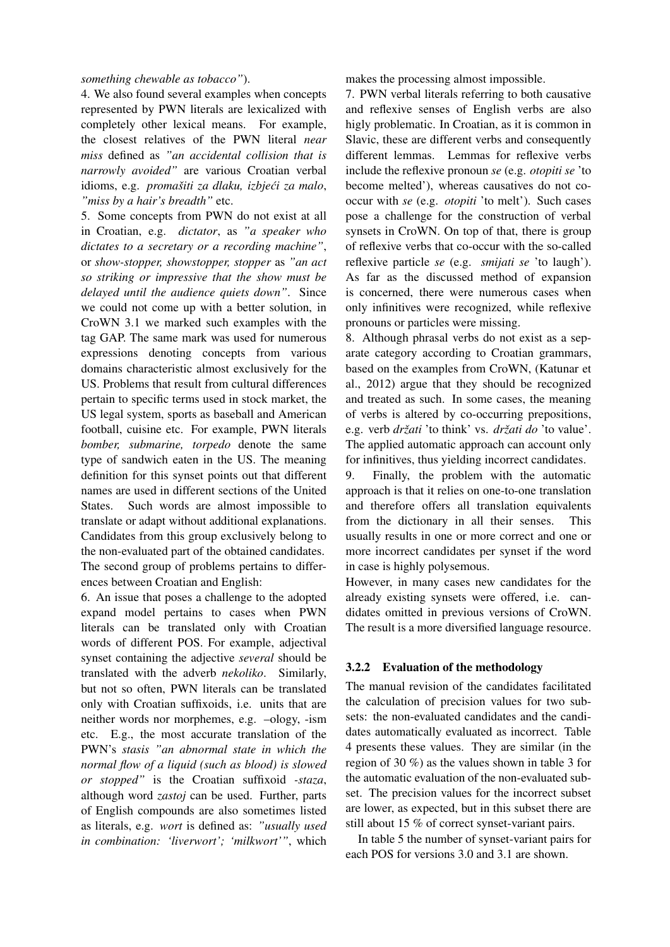#### *something chewable as tobacco"*).

4. We also found several examples when concepts represented by PWN literals are lexicalized with completely other lexical means. For example, the closest relatives of the PWN literal *near miss* defined as *"an accidental collision that is narrowly avoided"* are various Croatian verbal idioms, e.g. *promašiti za dlaku, izbjeći za malo*, *"miss by a hair's breadth"* etc.

5. Some concepts from PWN do not exist at all in Croatian, e.g. *dictator*, as *"a speaker who dictates to a secretary or a recording machine"*, or *show-stopper, showstopper, stopper* as *"an act so striking or impressive that the show must be delayed until the audience quiets down"*. Since we could not come up with a better solution, in CroWN 3.1 we marked such examples with the tag GAP. The same mark was used for numerous expressions denoting concepts from various domains characteristic almost exclusively for the US. Problems that result from cultural differences pertain to specific terms used in stock market, the US legal system, sports as baseball and American football, cuisine etc. For example, PWN literals *bomber, submarine, torpedo* denote the same type of sandwich eaten in the US. The meaning definition for this synset points out that different names are used in different sections of the United States. Such words are almost impossible to translate or adapt without additional explanations. Candidates from this group exclusively belong to the non-evaluated part of the obtained candidates. The second group of problems pertains to differences between Croatian and English:

6. An issue that poses a challenge to the adopted expand model pertains to cases when PWN literals can be translated only with Croatian words of different POS. For example, adjectival synset containing the adjective *several* should be translated with the adverb *nekoliko*. Similarly, but not so often, PWN literals can be translated only with Croatian suffixoids, i.e. units that are neither words nor morphemes, e.g. –ology, -ism etc. E.g., the most accurate translation of the PWN's *stasis "an abnormal state in which the normal flow of a liquid (such as blood) is slowed or stopped"* is the Croatian suffixoid *-staza*, although word *zastoj* can be used. Further, parts of English compounds are also sometimes listed as literals, e.g. *wort* is defined as: *"usually used in combination: 'liverwort'; 'milkwort'"*, which makes the processing almost impossible.

7. PWN verbal literals referring to both causative and reflexive senses of English verbs are also higly problematic. In Croatian, as it is common in Slavic, these are different verbs and consequently different lemmas. Lemmas for reflexive verbs include the reflexive pronoun *se* (e.g. *otopiti se* 'to become melted'), whereas causatives do not cooccur with *se* (e.g. *otopiti* 'to melt'). Such cases pose a challenge for the construction of verbal synsets in CroWN. On top of that, there is group of reflexive verbs that co-occur with the so-called reflexive particle *se* (e.g. *smijati se* 'to laugh'). As far as the discussed method of expansion is concerned, there were numerous cases when only infinitives were recognized, while reflexive pronouns or particles were missing.

8. Although phrasal verbs do not exist as a separate category according to Croatian grammars, based on the examples from CroWN, (Katunar et al., 2012) argue that they should be recognized and treated as such. In some cases, the meaning of verbs is altered by co-occurring prepositions, e.g. verb *drzati ˇ* 'to think' vs. *drzati do ˇ* 'to value'. The applied automatic approach can account only for infinitives, thus yielding incorrect candidates.

9. Finally, the problem with the automatic approach is that it relies on one-to-one translation and therefore offers all translation equivalents from the dictionary in all their senses. This usually results in one or more correct and one or more incorrect candidates per synset if the word in case is highly polysemous.

However, in many cases new candidates for the already existing synsets were offered, i.e. candidates omitted in previous versions of CroWN. The result is a more diversified language resource.

# 3.2.2 Evaluation of the methodology

The manual revision of the candidates facilitated the calculation of precision values for two subsets: the non-evaluated candidates and the candidates automatically evaluated as incorrect. Table 4 presents these values. They are similar (in the region of 30 %) as the values shown in table 3 for the automatic evaluation of the non-evaluated subset. The precision values for the incorrect subset are lower, as expected, but in this subset there are still about 15 % of correct synset-variant pairs.

In table 5 the number of synset-variant pairs for each POS for versions 3.0 and 3.1 are shown.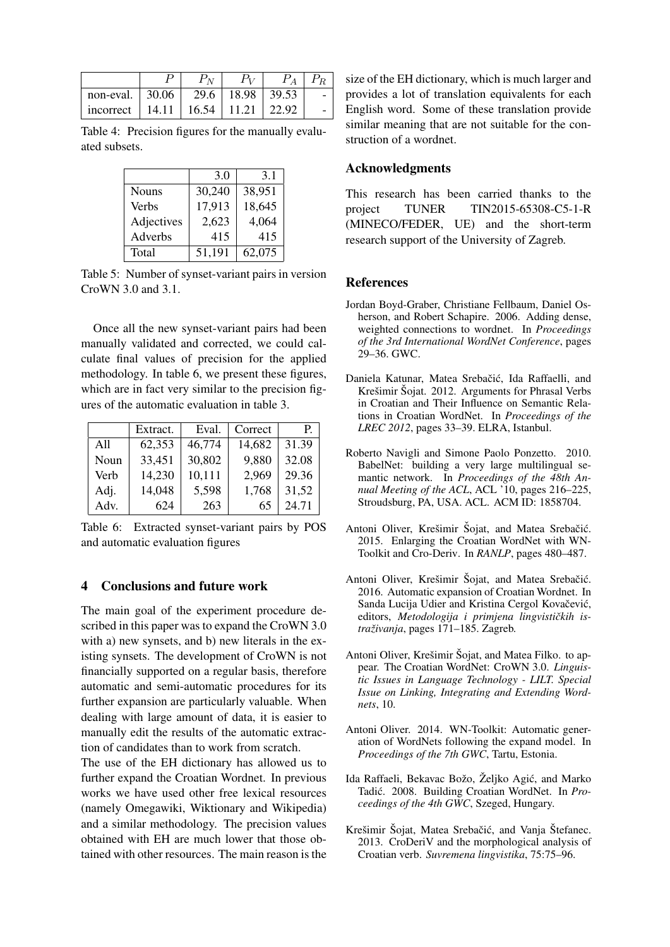| non-eval. $\vert$ 30.06 $\vert$           |  | 29.6   18.98   39.53 |  |
|-------------------------------------------|--|----------------------|--|
| incorrect   14.11   16.54   11.21   22.92 |  |                      |  |

Table 4: Precision figures for the manually evaluated subsets.

|              | 3.0    | 3.1    |
|--------------|--------|--------|
| <b>Nouns</b> | 30,240 | 38,951 |
| Verbs        | 17,913 | 18,645 |
| Adjectives   | 2,623  | 4,064  |
| Adverbs      | 415    | 415    |
| Total        | 51,191 | 62,075 |

Table 5: Number of synset-variant pairs in version CroWN 3.0 and 3.1.

Once all the new synset-variant pairs had been manually validated and corrected, we could calculate final values of precision for the applied methodology. In table 6, we present these figures, which are in fact very similar to the precision figures of the automatic evaluation in table 3.

|      | Extract. | Eval.  | Correct | Р.    |
|------|----------|--------|---------|-------|
| A11  | 62,353   | 46,774 | 14,682  | 31.39 |
| Noun | 33,451   | 30,802 | 9,880   | 32.08 |
| Verb | 14,230   | 10,111 | 2,969   | 29.36 |
| Adj. | 14,048   | 5,598  | 1,768   | 31,52 |
| Adv. | 624      | 263    | 65      | 24.71 |

Table 6: Extracted synset-variant pairs by POS and automatic evaluation figures

### 4 Conclusions and future work

The main goal of the experiment procedure described in this paper was to expand the CroWN 3.0 with a) new synsets, and b) new literals in the existing synsets. The development of CroWN is not financially supported on a regular basis, therefore automatic and semi-automatic procedures for its further expansion are particularly valuable. When dealing with large amount of data, it is easier to manually edit the results of the automatic extraction of candidates than to work from scratch.

The use of the EH dictionary has allowed us to further expand the Croatian Wordnet. In previous works we have used other free lexical resources (namely Omegawiki, Wiktionary and Wikipedia) and a similar methodology. The precision values obtained with EH are much lower that those obtained with other resources. The main reason is the size of the EH dictionary, which is much larger and provides a lot of translation equivalents for each English word. Some of these translation provide similar meaning that are not suitable for the construction of a wordnet.

## Acknowledgments

This research has been carried thanks to the project TUNER TIN2015-65308-C5-1-R (MINECO/FEDER, UE) and the short-term research support of the University of Zagreb.

#### References

- Jordan Boyd-Graber, Christiane Fellbaum, Daniel Osherson, and Robert Schapire. 2006. Adding dense, weighted connections to wordnet. In *Proceedings of the 3rd International WordNet Conference*, pages 29–36. GWC.
- Daniela Katunar, Matea Srebačić, Ida Raffaelli, and Krešimir Šojat. 2012. Arguments for Phrasal Verbs in Croatian and Their Influence on Semantic Relations in Croatian WordNet. In *Proceedings of the LREC 2012*, pages 33–39. ELRA, Istanbul.
- Roberto Navigli and Simone Paolo Ponzetto. 2010. BabelNet: building a very large multilingual semantic network. In *Proceedings of the 48th Annual Meeting of the ACL*, ACL '10, pages 216–225, Stroudsburg, PA, USA. ACL. ACM ID: 1858704.
- Antoni Oliver, Krešimir Šojat, and Matea Srebačić. 2015. Enlarging the Croatian WordNet with WN-Toolkit and Cro-Deriv. In *RANLP*, pages 480–487.
- Antoni Oliver, Krešimir Šojat, and Matea Srebačić. 2016. Automatic expansion of Croatian Wordnet. In Sanda Lucija Udier and Kristina Cergol Kovačević, editors, Metodologija i primjena lingvističkih is*traživanja*, pages 171–185. Zagreb.
- Antoni Oliver, Krešimir Šojat, and Matea Filko. to appear. The Croatian WordNet: CroWN 3.0. *Linguistic Issues in Language Technology - LILT. Special Issue on Linking, Integrating and Extending Wordnets*, 10.
- Antoni Oliver. 2014. WN-Toolkit: Automatic generation of WordNets following the expand model. In *Proceedings of the 7th GWC*, Tartu, Estonia.
- Ida Raffaeli, Bekavac Božo, Željko Agić, and Marko Tadić. 2008. Building Croatian WordNet. In Pro*ceedings of the 4th GWC*, Szeged, Hungary.
- Krešimir Šojat, Matea Srebačić, and Vanja Štefanec. 2013. CroDeriV and the morphological analysis of Croatian verb. *Suvremena lingvistika*, 75:75–96.